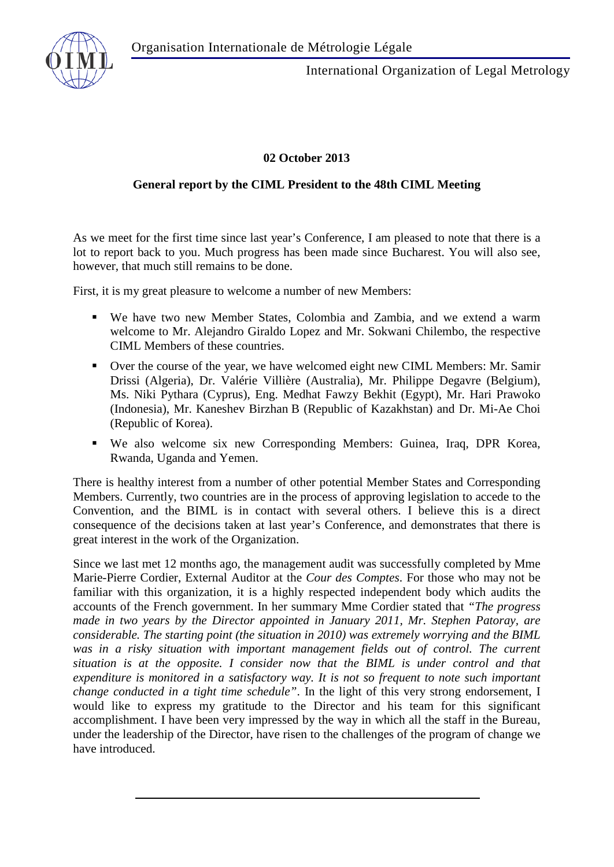

## **02 October 2013**

#### **General report by the CIML President to the 48th CIML Meeting**

As we meet for the first time since last year's Conference, I am pleased to note that there is a lot to report back to you. Much progress has been made since Bucharest. You will also see, however, that much still remains to be done.

First, it is my great pleasure to welcome a number of new Members:

- We have two new Member States, Colombia and Zambia, and we extend a warm welcome to Mr. Alejandro Giraldo Lopez and Mr. Sokwani Chilembo, the respective CIML Members of these countries.
- Over the course of the year, we have welcomed eight new CIML Members: Mr. Samir Drissi (Algeria), Dr. Valérie Villière (Australia), Mr. Philippe Degavre (Belgium), Ms. Niki Pythara (Cyprus), Eng. Medhat Fawzy Bekhit (Egypt), Mr. Hari Prawoko (Indonesia), Mr. Kaneshev Birzhan B (Republic of Kazakhstan) and Dr. Mi-Ae Choi (Republic of Korea).
- We also welcome six new Corresponding Members: Guinea, Iraq, DPR Korea, Rwanda, Uganda and Yemen.

There is healthy interest from a number of other potential Member States and Corresponding Members. Currently, two countries are in the process of approving legislation to accede to the Convention, and the BIML is in contact with several others. I believe this is a direct consequence of the decisions taken at last year's Conference, and demonstrates that there is great interest in the work of the Organization.

Since we last met 12 months ago, the management audit was successfully completed by Mme Marie-Pierre Cordier, External Auditor at the *Cour des Comptes*. For those who may not be familiar with this organization, it is a highly respected independent body which audits the accounts of the French government. In her summary Mme Cordier stated that *"The progress made in two years by the Director appointed in January 2011, Mr. Stephen Patoray, are considerable. The starting point (the situation in 2010) was extremely worrying and the BIML*  was in a risky situation with important management fields out of control. The current *situation is at the opposite. I consider now that the BIML is under control and that expenditure is monitored in a satisfactory way. It is not so frequent to note such important change conducted in a tight time schedule"*. In the light of this very strong endorsement, I would like to express my gratitude to the Director and his team for this significant accomplishment. I have been very impressed by the way in which all the staff in the Bureau, under the leadership of the Director, have risen to the challenges of the program of change we have introduced.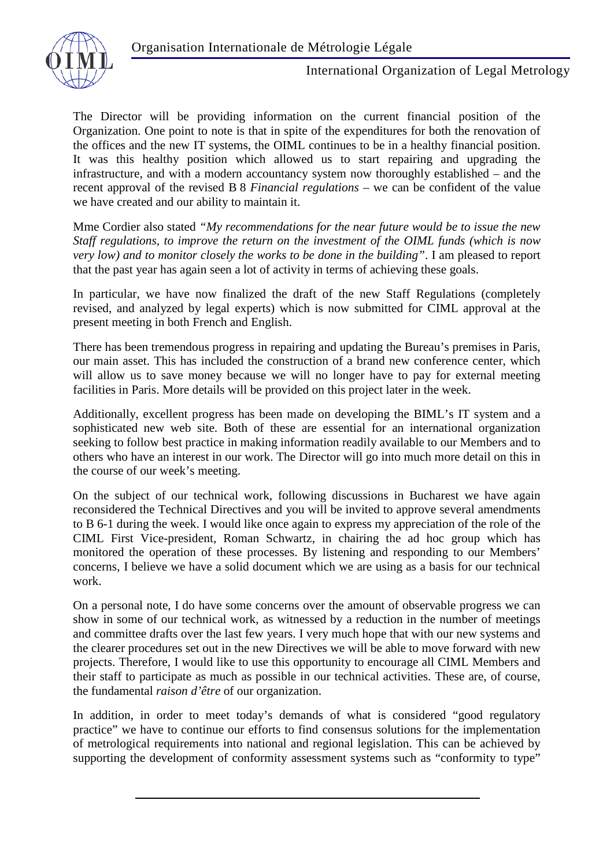

The Director will be providing information on the current financial position of the Organization. One point to note is that in spite of the expenditures for both the renovation of the offices and the new IT systems, the OIML continues to be in a healthy financial position. It was this healthy position which allowed us to start repairing and upgrading the infrastructure, and with a modern accountancy system now thoroughly established – and the recent approval of the revised B 8 *Financial regulations –* we can be confident of the value we have created and our ability to maintain it.

Mme Cordier also stated *"My recommendations for the near future would be to issue the new Staff regulations, to improve the return on the investment of the OIML funds (which is now very low) and to monitor closely the works to be done in the building"*. I am pleased to report that the past year has again seen a lot of activity in terms of achieving these goals.

In particular, we have now finalized the draft of the new Staff Regulations (completely revised, and analyzed by legal experts) which is now submitted for CIML approval at the present meeting in both French and English.

There has been tremendous progress in repairing and updating the Bureau's premises in Paris, our main asset. This has included the construction of a brand new conference center, which will allow us to save money because we will no longer have to pay for external meeting facilities in Paris. More details will be provided on this project later in the week.

Additionally, excellent progress has been made on developing the BIML's IT system and a sophisticated new web site. Both of these are essential for an international organization seeking to follow best practice in making information readily available to our Members and to others who have an interest in our work. The Director will go into much more detail on this in the course of our week's meeting.

On the subject of our technical work, following discussions in Bucharest we have again reconsidered the Technical Directives and you will be invited to approve several amendments to B 6-1 during the week. I would like once again to express my appreciation of the role of the CIML First Vice-president, Roman Schwartz, in chairing the ad hoc group which has monitored the operation of these processes. By listening and responding to our Members' concerns, I believe we have a solid document which we are using as a basis for our technical work.

On a personal note, I do have some concerns over the amount of observable progress we can show in some of our technical work, as witnessed by a reduction in the number of meetings and committee drafts over the last few years. I very much hope that with our new systems and the clearer procedures set out in the new Directives we will be able to move forward with new projects. Therefore, I would like to use this opportunity to encourage all CIML Members and their staff to participate as much as possible in our technical activities. These are, of course, the fundamental *raison d'être* of our organization.

In addition, in order to meet today's demands of what is considered "good regulatory practice" we have to continue our efforts to find consensus solutions for the implementation of metrological requirements into national and regional legislation. This can be achieved by supporting the development of conformity assessment systems such as "conformity to type"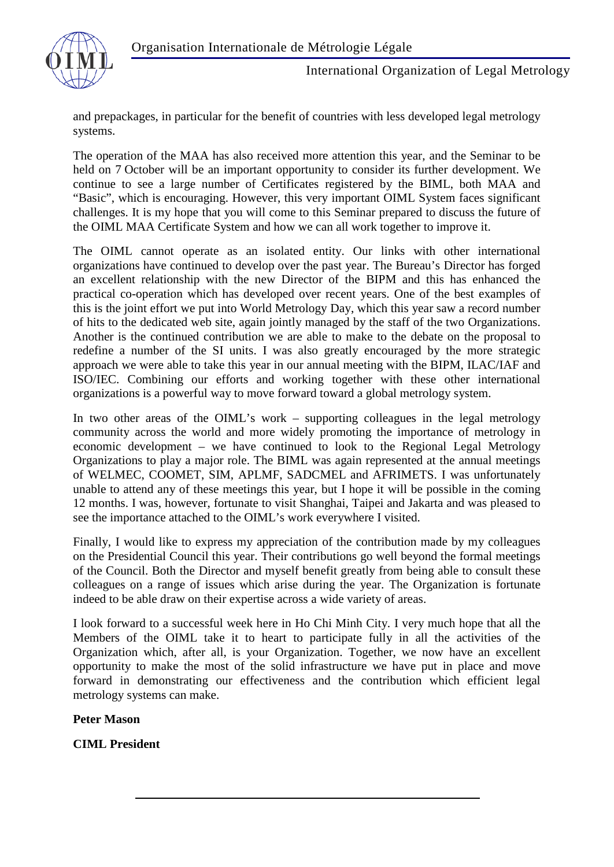

and prepackages, in particular for the benefit of countries with less developed legal metrology systems.

The operation of the MAA has also received more attention this year, and the Seminar to be held on 7 October will be an important opportunity to consider its further development. We continue to see a large number of Certificates registered by the BIML, both MAA and "Basic", which is encouraging. However, this very important OIML System faces significant challenges. It is my hope that you will come to this Seminar prepared to discuss the future of the OIML MAA Certificate System and how we can all work together to improve it.

The OIML cannot operate as an isolated entity. Our links with other international organizations have continued to develop over the past year. The Bureau's Director has forged an excellent relationship with the new Director of the BIPM and this has enhanced the practical co-operation which has developed over recent years. One of the best examples of this is the joint effort we put into World Metrology Day, which this year saw a record number of hits to the dedicated web site, again jointly managed by the staff of the two Organizations. Another is the continued contribution we are able to make to the debate on the proposal to redefine a number of the SI units. I was also greatly encouraged by the more strategic approach we were able to take this year in our annual meeting with the BIPM, ILAC/IAF and ISO/IEC. Combining our efforts and working together with these other international organizations is a powerful way to move forward toward a global metrology system.

In two other areas of the OIML's work – supporting colleagues in the legal metrology community across the world and more widely promoting the importance of metrology in economic development – we have continued to look to the Regional Legal Metrology Organizations to play a major role. The BIML was again represented at the annual meetings of WELMEC, COOMET, SIM, APLMF, SADCMEL and AFRIMETS. I was unfortunately unable to attend any of these meetings this year, but I hope it will be possible in the coming 12 months. I was, however, fortunate to visit Shanghai, Taipei and Jakarta and was pleased to see the importance attached to the OIML's work everywhere I visited.

Finally, I would like to express my appreciation of the contribution made by my colleagues on the Presidential Council this year. Their contributions go well beyond the formal meetings of the Council. Both the Director and myself benefit greatly from being able to consult these colleagues on a range of issues which arise during the year. The Organization is fortunate indeed to be able draw on their expertise across a wide variety of areas.

I look forward to a successful week here in Ho Chi Minh City. I very much hope that all the Members of the OIML take it to heart to participate fully in all the activities of the Organization which, after all, is your Organization. Together, we now have an excellent opportunity to make the most of the solid infrastructure we have put in place and move forward in demonstrating our effectiveness and the contribution which efficient legal metrology systems can make.

**Peter Mason**

**CIML President**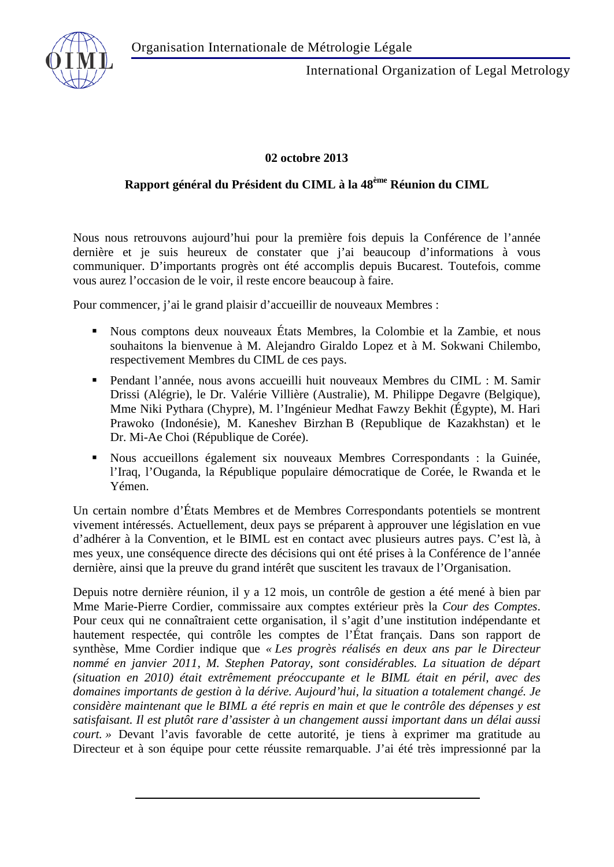

## **02 octobre 2013**

## **Rapport général du Président du CIML à la 48ème Réunion du CIML**

Nous nous retrouvons aujourd'hui pour la première fois depuis la Conférence de l'année dernière et je suis heureux de constater que j'ai beaucoup d'informations à vous communiquer. D'importants progrès ont été accomplis depuis Bucarest. Toutefois, comme vous aurez l'occasion de le voir, il reste encore beaucoup à faire.

Pour commencer, j'ai le grand plaisir d'accueillir de nouveaux Membres :

- Nous comptons deux nouveaux États Membres, la Colombie et la Zambie, et nous souhaitons la bienvenue à M. Alejandro Giraldo Lopez et à M. Sokwani Chilembo, respectivement Membres du CIML de ces pays.
- Pendant l'année, nous avons accueilli huit nouveaux Membres du CIML : M. Samir Drissi (Alégrie), le Dr. Valérie Villière (Australie), M. Philippe Degavre (Belgique), Mme Niki Pythara (Chypre), M. l'Ingénieur Medhat Fawzy Bekhit (Égypte), M. Hari Prawoko (Indonésie), M. Kaneshev Birzhan B (Republique de Kazakhstan) et le Dr. Mi-Ae Choi (République de Corée).
- Nous accueillons également six nouveaux Membres Correspondants : la Guinée, l'Iraq, l'Ouganda, la République populaire démocratique de Corée, le Rwanda et le Yémen.

Un certain nombre d'États Membres et de Membres Correspondants potentiels se montrent vivement intéressés. Actuellement, deux pays se préparent à approuver une législation en vue d'adhérer à la Convention, et le BIML est en contact avec plusieurs autres pays. C'est là, à mes yeux, une conséquence directe des décisions qui ont été prises à la Conférence de l'année dernière, ainsi que la preuve du grand intérêt que suscitent les travaux de l'Organisation.

Depuis notre dernière réunion, il y a 12 mois, un contrôle de gestion a été mené à bien par Mme Marie-Pierre Cordier, commissaire aux comptes extérieur près la *Cour des Comptes*. Pour ceux qui ne connaîtraient cette organisation, il s'agit d'une institution indépendante et hautement respectée, qui contrôle les comptes de l'État français. Dans son rapport de synthèse, Mme Cordier indique que *« Les progrès réalisés en deux ans par le Directeur nommé en janvier 2011, M. Stephen Patoray, sont considérables. La situation de départ (situation en 2010) était extrêmement préoccupante et le BIML était en péril, avec des domaines importants de gestion à la dérive. Aujourd'hui, la situation a totalement changé. Je considère maintenant que le BIML a été repris en main et que le contrôle des dépenses y est satisfaisant. Il est plutôt rare d'assister à un changement aussi important dans un délai aussi court. »* Devant l'avis favorable de cette autorité, je tiens à exprimer ma gratitude au Directeur et à son équipe pour cette réussite remarquable. J'ai été très impressionné par la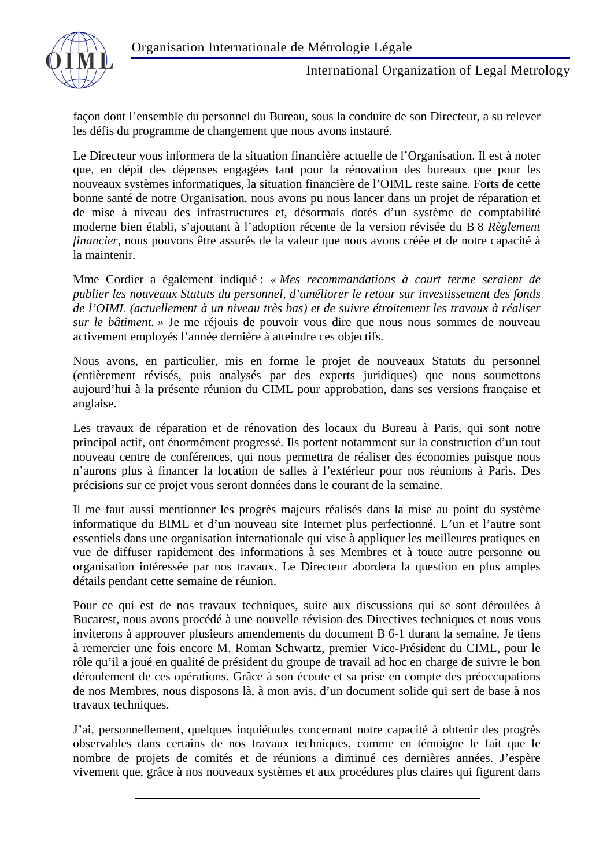

façon dont l'ensemble du personnel du Bureau, sous la conduite de son Directeur, a su relever les défis du programme de changement que nous avons instauré.

Le Directeur vous informera de la situation financière actuelle de l'Organisation. Il est à noter que, en dépit des dépenses engagées tant pour la rénovation des bureaux que pour les nouveaux systèmes informatiques, la situation financière de l'OIML reste saine. Forts de cette bonne santé de notre Organisation, nous avons pu nous lancer dans un projet de réparation et de mise à niveau des infrastructures et, désormais dotés d'un système de comptabilité moderne bien établi, s'ajoutant à l'adoption récente de la version révisée du B 8 *Règlement financier,* nous pouvons être assurés de la valeur que nous avons créée et de notre capacité à la maintenir.

Mme Cordier a également indiqué : *« Mes recommandations à court terme seraient de publier les nouveaux Statuts du personnel, d'améliorer le retour sur investissement des fonds de l'OIML (actuellement à un niveau très bas) et de suivre étroitement les travaux à réaliser sur le bâtiment. »* Je me réjouis de pouvoir vous dire que nous nous sommes de nouveau activement employés l'année dernière à atteindre ces objectifs.

Nous avons, en particulier, mis en forme le projet de nouveaux Statuts du personnel (entièrement révisés, puis analysés par des experts juridiques) que nous soumettons aujourd'hui à la présente réunion du CIML pour approbation, dans ses versions française et anglaise.

Les travaux de réparation et de rénovation des locaux du Bureau à Paris, qui sont notre principal actif, ont énormément progressé. Ils portent notamment sur la construction d'un tout nouveau centre de conférences, qui nous permettra de réaliser des économies puisque nous n'aurons plus à financer la location de salles à l'extérieur pour nos réunions à Paris. Des précisions sur ce projet vous seront données dans le courant de la semaine.

Il me faut aussi mentionner les progrès majeurs réalisés dans la mise au point du système informatique du BIML et d'un nouveau site Internet plus perfectionné. L'un et l'autre sont essentiels dans une organisation internationale qui vise à appliquer les meilleures pratiques en vue de diffuser rapidement des informations à ses Membres et à toute autre personne ou organisation intéressée par nos travaux. Le Directeur abordera la question en plus amples détails pendant cette semaine de réunion.

Pour ce qui est de nos travaux techniques, suite aux discussions qui se sont déroulées à Bucarest, nous avons procédé à une nouvelle révision des Directives techniques et nous vous inviterons à approuver plusieurs amendements du document B 6-1 durant la semaine. Je tiens à remercier une fois encore M. Roman Schwartz, premier Vice-Président du CIML, pour le rôle qu'il a joué en qualité de président du groupe de travail ad hoc en charge de suivre le bon déroulement de ces opérations. Grâce à son écoute et sa prise en compte des préoccupations de nos Membres, nous disposons là, à mon avis, d'un document solide qui sert de base à nos travaux techniques.

J'ai, personnellement, quelques inquiétudes concernant notre capacité à obtenir des progrès observables dans certains de nos travaux techniques, comme en témoigne le fait que le nombre de projets de comités et de réunions a diminué ces dernières années. J'espère vivement que, grâce à nos nouveaux systèmes et aux procédures plus claires qui figurent dans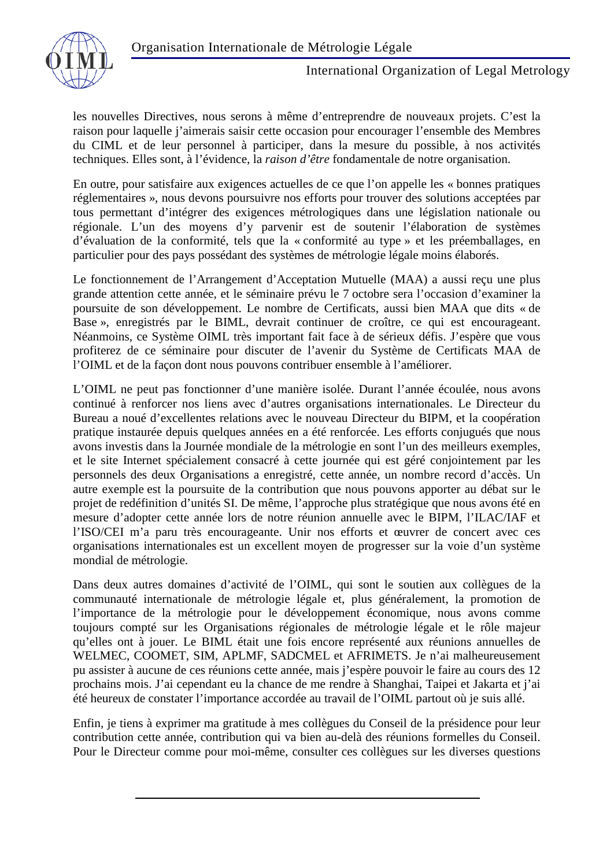

les nouvelles Directives, nous serons à même d'entreprendre de nouveaux projets. C'est la raison pour laquelle j'aimerais saisir cette occasion pour encourager l'ensemble des Membres du CIML et de leur personnel à participer, dans la mesure du possible, à nos activités techniques. Elles sont, à l'évidence, la *raison d'être* fondamentale de notre organisation.

En outre, pour satisfaire aux exigences actuelles de ce que l'on appelle les « bonnes pratiques réglementaires », nous devons poursuivre nos efforts pour trouver des solutions acceptées par tous permettant d'intégrer des exigences métrologiques dans une législation nationale ou régionale. L'un des moyens d'y parvenir est de soutenir l'élaboration de systèmes d'évaluation de la conformité, tels que la « conformité au type » et les préemballages, en particulier pour des pays possédant des systèmes de métrologie légale moins élaborés.

Le fonctionnement de l'Arrangement d'Acceptation Mutuelle (MAA) a aussi reçu une plus grande attention cette année, et le séminaire prévu le 7 octobre sera l'occasion d'examiner la poursuite de son développement. Le nombre de Certificats, aussi bien MAA que dits « de Base », enregistrés par le BIML, devrait continuer de croître, ce qui est encourageant. Néanmoins, ce Système OIML très important fait face à de sérieux défis. J'espère que vous profiterez de ce séminaire pour discuter de l'avenir du Système de Certificats MAA de l'OIML et de la façon dont nous pouvons contribuer ensemble à l'améliorer.

L'OIML ne peut pas fonctionner d'une manière isolée. Durant l'année écoulée, nous avons continué à renforcer nos liens avec d'autres organisations internationales. Le Directeur du Bureau a noué d'excellentes relations avec le nouveau Directeur du BIPM, et la coopération pratique instaurée depuis quelques années en a été renforcée. Les efforts conjugués que nous avons investis dans la Journée mondiale de la métrologie en sont l'un des meilleurs exemples, et le site Internet spécialement consacré à cette journée qui est géré conjointement par les personnels des deux Organisations a enregistré, cette année, un nombre record d'accès. Un autre exemple est la poursuite de la contribution que nous pouvons apporter au débat sur le projet de redéfinition d'unités SI. De même, l'approche plus stratégique que nous avons été en mesure d'adopter cette année lors de notre réunion annuelle avec le BIPM, l'ILAC/IAF et l'ISO/CEI m'a paru très encourageante. Unir nos efforts et œuvrer de concert avec ces organisations internationales est un excellent moyen de progresser sur la voie d'un système mondial de métrologie.

Dans deux autres domaines d'activité de l'OIML, qui sont le soutien aux collègues de la communauté internationale de métrologie légale et, plus généralement, la promotion de l'importance de la métrologie pour le développement économique, nous avons comme toujours compté sur les Organisations régionales de métrologie légale et le rôle majeur qu'elles ont à jouer. Le BIML était une fois encore représenté aux réunions annuelles de WELMEC, COOMET, SIM, APLMF, SADCMEL et AFRIMETS. Je n'ai malheureusement pu assister à aucune de ces réunions cette année, mais j'espère pouvoir le faire au cours des 12 prochains mois. J'ai cependant eu la chance de me rendre à Shanghai, Taipei et Jakarta et j'ai été heureux de constater l'importance accordée au travail de l'OIML partout où je suis allé.

Enfin, je tiens à exprimer ma gratitude à mes collègues du Conseil de la présidence pour leur contribution cette année, contribution qui va bien au-delà des réunions formelles du Conseil. Pour le Directeur comme pour moi-même, consulter ces collègues sur les diverses questions